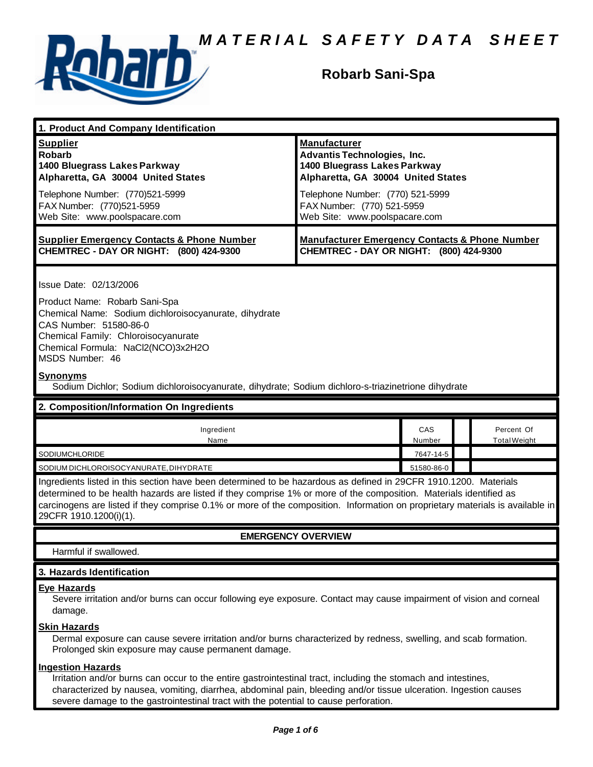

## **Robarb Sani-Spa**

| 1. Product And Company Identification                                                                                                                                                                                                                                                                                                                                                             |                                                                                                                                 |               |                            |  |
|---------------------------------------------------------------------------------------------------------------------------------------------------------------------------------------------------------------------------------------------------------------------------------------------------------------------------------------------------------------------------------------------------|---------------------------------------------------------------------------------------------------------------------------------|---------------|----------------------------|--|
| <b>Supplier</b><br><b>Robarb</b><br>1400 Bluegrass Lakes Parkway<br>Alpharetta, GA 30004 United States                                                                                                                                                                                                                                                                                            | <b>Manufacturer</b><br><b>Advantis Technologies, Inc.</b><br>1400 Bluegrass Lakes Parkway<br>Alpharetta, GA 30004 United States |               |                            |  |
| Telephone Number: (770)521-5999<br>FAX Number: (770)521-5959<br>Web Site: www.poolspacare.com                                                                                                                                                                                                                                                                                                     | Telephone Number: (770) 521-5999<br>FAX Number: (770) 521-5959<br>Web Site: www.poolspacare.com                                 |               |                            |  |
| <b>Supplier Emergency Contacts &amp; Phone Number</b><br>CHEMTREC - DAY OR NIGHT: (800) 424-9300                                                                                                                                                                                                                                                                                                  | <b>Manufacturer Emergency Contacts &amp; Phone Number</b><br>CHEMTREC - DAY OR NIGHT: (800) 424-9300                            |               |                            |  |
| Issue Date: 02/13/2006<br>Product Name: Robarb Sani-Spa<br>Chemical Name: Sodium dichloroisocyanurate, dihydrate<br>CAS Number: 51580-86-0<br>Chemical Family: Chloroisocyanurate<br>Chemical Formula: NaCl2(NCO)3x2H2O<br>MSDS Number: 46                                                                                                                                                        |                                                                                                                                 |               |                            |  |
| <b>Synonyms</b><br>Sodium Dichlor; Sodium dichloroisocyanurate, dihydrate; Sodium dichloro-s-triazinetrione dihydrate                                                                                                                                                                                                                                                                             |                                                                                                                                 |               |                            |  |
| 2. Composition/Information On Ingredients                                                                                                                                                                                                                                                                                                                                                         |                                                                                                                                 |               |                            |  |
| Ingredient<br>Name                                                                                                                                                                                                                                                                                                                                                                                |                                                                                                                                 | CAS<br>Number | Percent Of<br>Total Weight |  |
| SODIUMCHLORIDE                                                                                                                                                                                                                                                                                                                                                                                    |                                                                                                                                 | 7647-14-5     |                            |  |
| SODIUM DICHLOROISOCYANURATE, DIHYDRATE                                                                                                                                                                                                                                                                                                                                                            |                                                                                                                                 | 51580-86-0    |                            |  |
| Ingredients listed in this section have been determined to be hazardous as defined in 29CFR 1910.1200. Materials<br>determined to be health hazards are listed if they comprise 1% or more of the composition. Materials identified as<br>carcinogens are listed if they comprise 0.1% or more of the composition. Information on proprietary materials is available in<br>29CFR 1910.1200(i)(1). |                                                                                                                                 |               |                            |  |
| <b>EMERGENCY OVERVIEW</b>                                                                                                                                                                                                                                                                                                                                                                         |                                                                                                                                 |               |                            |  |
| Harmful if swallowed.                                                                                                                                                                                                                                                                                                                                                                             |                                                                                                                                 |               |                            |  |
| 3. Hazards Identification                                                                                                                                                                                                                                                                                                                                                                         |                                                                                                                                 |               |                            |  |
| <b>Eye Hazards</b><br>Severe irritation and/or burns can occur following eye exposure. Contact may cause impairment of vision and corneal<br>damage.                                                                                                                                                                                                                                              |                                                                                                                                 |               |                            |  |
| <b>Skin Hazards</b><br>Dermal exposure can cause severe irritation and/or burns characterized by redness, swelling, and scab formation.<br>Prolonged skin exposure may cause permanent damage.                                                                                                                                                                                                    |                                                                                                                                 |               |                            |  |
| <b>Ingestion Hazards</b><br>Irritation and/or burns can occur to the entire gastrointestinal tract, including the stomach and intestines,                                                                                                                                                                                                                                                         |                                                                                                                                 |               |                            |  |

characterized by nausea, vomiting, diarrhea, abdominal pain, bleeding and/or tissue ulceration. Ingestion causes severe damage to the gastrointestinal tract with the potential to cause perforation.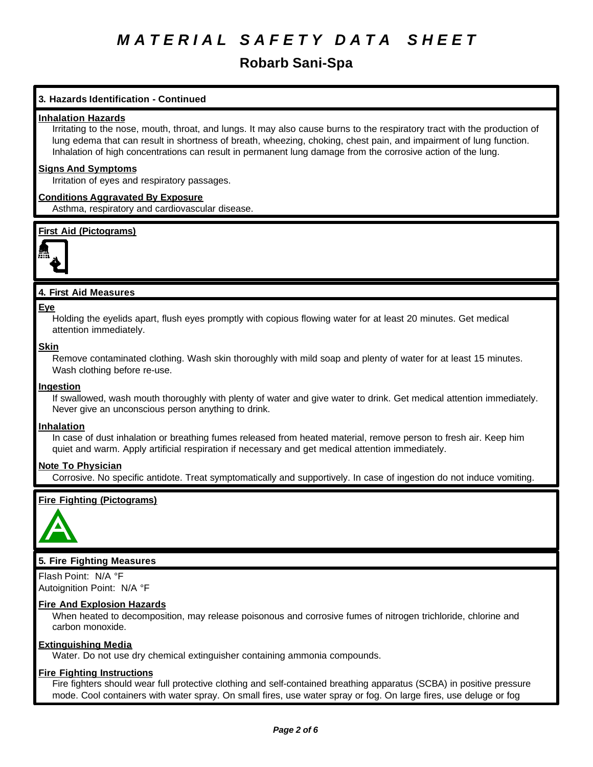## **Robarb Sani-Spa**

## **3. Hazards Identification - Continued**

## **Inhalation Hazards**

Irritating to the nose, mouth, throat, and lungs. It may also cause burns to the respiratory tract with the production of lung edema that can result in shortness of breath, wheezing, choking, chest pain, and impairment of lung function. Inhalation of high concentrations can result in permanent lung damage from the corrosive action of the lung.

## **Signs And Symptoms**

Irritation of eyes and respiratory passages.

## **Conditions Aggravated By Exposure**

Asthma, respiratory and cardiovascular disease.

## **First Aid (Pictograms)**



## **4. First Aid Measures**

#### **Eye**

Holding the eyelids apart, flush eyes promptly with copious flowing water for at least 20 minutes. Get medical attention immediately.

#### **Skin**

Remove contaminated clothing. Wash skin thoroughly with mild soap and plenty of water for at least 15 minutes. Wash clothing before re-use.

### **Ingestion**

If swallowed, wash mouth thoroughly with plenty of water and give water to drink. Get medical attention immediately. Never give an unconscious person anything to drink.

## **Inhalation**

In case of dust inhalation or breathing fumes released from heated material, remove person to fresh air. Keep him quiet and warm. Apply artificial respiration if necessary and get medical attention immediately.

## **Note To Physician**

Corrosive. No specific antidote. Treat symptomatically and supportively. In case of ingestion do not induce vomiting.

## **Fire Fighting (Pictograms)**



## **5. Fire Fighting Measures**

Flash Point: N/A °F Autoignition Point: N/A °F

## **Fire And Explosion Hazards**

When heated to decomposition, may release poisonous and corrosive fumes of nitrogen trichloride, chlorine and carbon monoxide.

## **Extinguishing Media**

Water. Do not use dry chemical extinguisher containing ammonia compounds.

## **Fire Fighting Instructions**

Fire fighters should wear full protective clothing and self-contained breathing apparatus (SCBA) in positive pressure mode. Cool containers with water spray. On small fires, use water spray or fog. On large fires, use deluge or fog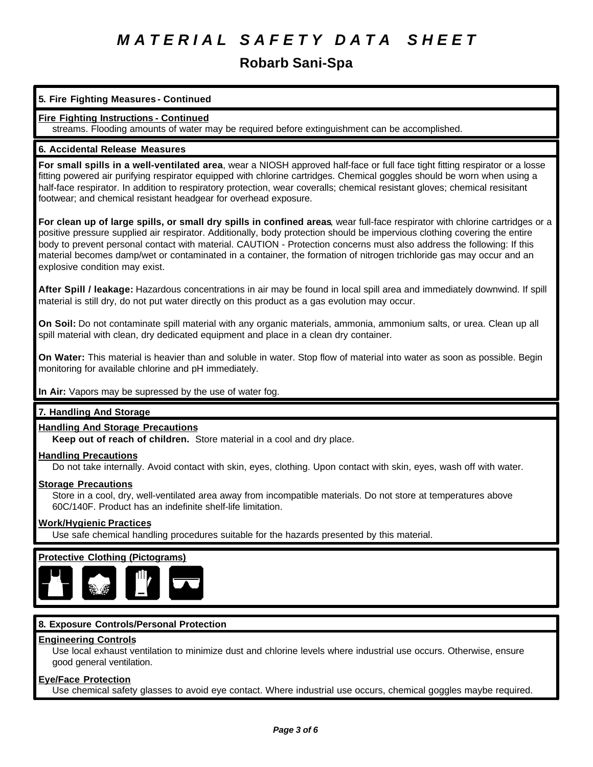## **Robarb Sani-Spa**

## **5. Fire Fighting Measures - Continued**

## **Fire Fighting Instructions - Continued**

streams. Flooding amounts of water may be required before extinguishment can be accomplished.

## **6. Accidental Release Measures**

**For small spills in a well-ventilated area**, wear a NIOSH approved half-face or full face tight fitting respirator or a losse fitting powered air purifying respirator equipped with chlorine cartridges. Chemical goggles should be worn when using a half-face respirator. In addition to respiratory protection, wear coveralls; chemical resistant gloves; chemical resisitant footwear; and chemical resistant headgear for overhead exposure.

**For clean up of large spills, or small dry spills in confined areas**, wear full-face respirator with chlorine cartridges or a positive pressure supplied air respirator. Additionally, body protection should be impervious clothing covering the entire body to prevent personal contact with material. CAUTION - Protection concerns must also address the following: If this material becomes damp/wet or contaminated in a container, the formation of nitrogen trichloride gas may occur and an explosive condition may exist.

**After Spill / leakage:** Hazardous concentrations in air may be found in local spill area and immediately downwind. If spill material is still dry, do not put water directly on this product as a gas evolution may occur.

**On Soil:** Do not contaminate spill material with any organic materials, ammonia, ammonium salts, or urea. Clean up all spill material with clean, dry dedicated equipment and place in a clean dry container.

**On Water:** This material is heavier than and soluble in water. Stop flow of material into water as soon as possible. Begin monitoring for available chlorine and pH immediately.

## **In Air:** Vapors may be supressed by the use of water fog.

## **7. Handling And Storage**

## **Handling And Storage Precautions**

**Keep out of reach of children.** Store material in a cool and dry place.

## **Handling Precautions**

Do not take internally. Avoid contact with skin, eyes, clothing. Upon contact with skin, eyes, wash off with water.

## **Storage Precautions**

Store in a cool, dry, well-ventilated area away from incompatible materials. Do not store at temperatures above 60C/140F. Product has an indefinite shelf-life limitation.

## **Work/Hygienic Practices**

Use safe chemical handling procedures suitable for the hazards presented by this material.

## **Protective Clothing (Pictograms)**



## **8. Exposure Controls/Personal Protection**

## **Engineering Controls**

Use local exhaust ventilation to minimize dust and chlorine levels where industrial use occurs. Otherwise, ensure good general ventilation.

## **Eye/Face Protection**

Use chemical safety glasses to avoid eye contact. Where industrial use occurs, chemical goggles maybe required.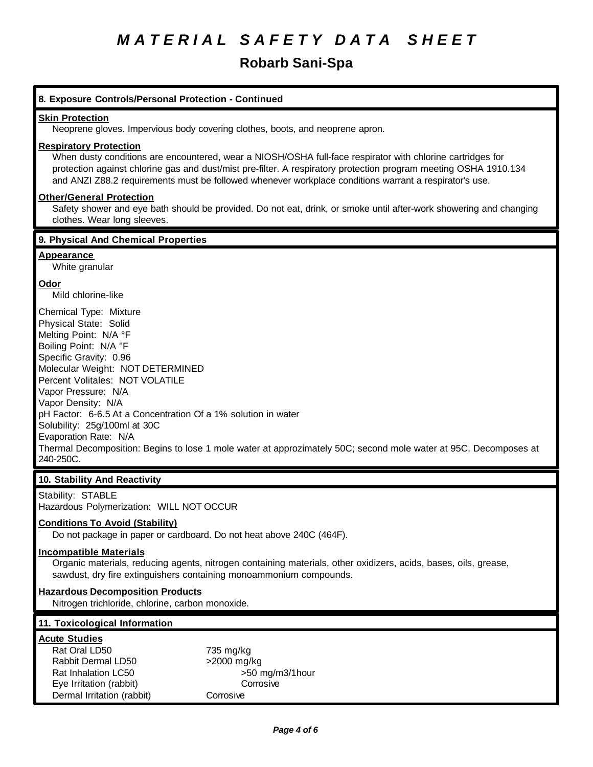# **Robarb Sani-Spa**

| 8. Exposure Controls/Personal Protection - Continued                                                                                                                                                                                                                                                                                                                                                                                                                                                       |  |  |
|------------------------------------------------------------------------------------------------------------------------------------------------------------------------------------------------------------------------------------------------------------------------------------------------------------------------------------------------------------------------------------------------------------------------------------------------------------------------------------------------------------|--|--|
| <b>Skin Protection</b><br>Neoprene gloves. Impervious body covering clothes, boots, and neoprene apron.                                                                                                                                                                                                                                                                                                                                                                                                    |  |  |
| <b>Respiratory Protection</b><br>When dusty conditions are encountered, wear a NIOSH/OSHA full-face respirator with chlorine cartridges for<br>protection against chlorine gas and dust/mist pre-filter. A respiratory protection program meeting OSHA 1910.134<br>and ANZI Z88.2 requirements must be followed whenever workplace conditions warrant a respirator's use.                                                                                                                                  |  |  |
| <b>Other/General Protection</b><br>Safety shower and eye bath should be provided. Do not eat, drink, or smoke until after-work showering and changing<br>clothes. Wear long sleeves.                                                                                                                                                                                                                                                                                                                       |  |  |
| 9. Physical And Chemical Properties                                                                                                                                                                                                                                                                                                                                                                                                                                                                        |  |  |
| <b>Appearance</b><br>White granular                                                                                                                                                                                                                                                                                                                                                                                                                                                                        |  |  |
| Odor<br>Mild chlorine-like                                                                                                                                                                                                                                                                                                                                                                                                                                                                                 |  |  |
| Chemical Type: Mixture<br>Physical State: Solid<br>Melting Point: N/A °F<br>Boiling Point: N/A °F<br>Specific Gravity: 0.96<br>Molecular Weight: NOT DETERMINED<br>Percent Volitales: NOT VOLATILE<br>Vapor Pressure: N/A<br>Vapor Density: N/A<br>pH Factor: 6-6.5 At a Concentration Of a 1% solution in water<br>Solubility: 25g/100ml at 30C<br>Evaporation Rate: N/A<br>Thermal Decomposition: Begins to lose 1 mole water at approzimately 50C; second mole water at 95C. Decomposes at<br>240-250C. |  |  |
| 10. Stability And Reactivity                                                                                                                                                                                                                                                                                                                                                                                                                                                                               |  |  |
| Stability: STABLE<br>Hazardous Polymerization: WILL NOT OCCUR                                                                                                                                                                                                                                                                                                                                                                                                                                              |  |  |
| <b>Conditions To Avoid (Stability)</b><br>Do not package in paper or cardboard. Do not heat above 240C (464F).                                                                                                                                                                                                                                                                                                                                                                                             |  |  |
| <b>Incompatible Materials</b><br>Organic materials, reducing agents, nitrogen containing materials, other oxidizers, acids, bases, oils, grease,<br>sawdust, dry fire extinguishers containing monoammonium compounds.                                                                                                                                                                                                                                                                                     |  |  |
| <b>Hazardous Decomposition Products</b><br>Nitrogen trichloride, chlorine, carbon monoxide.                                                                                                                                                                                                                                                                                                                                                                                                                |  |  |
| 11. Toxicological Information                                                                                                                                                                                                                                                                                                                                                                                                                                                                              |  |  |
| <b>Acute Studies</b><br>Rat Oral LD50<br>735 mg/kg<br>Rabbit Dermal LD50<br>>2000 mg/kg<br>Rat Inhalation LC50<br>>50 mg/m3/1hour<br>Eye Irritation (rabbit)<br>Corrosive<br>Dermal Irritation (rabbit)<br>Corrosive                                                                                                                                                                                                                                                                                       |  |  |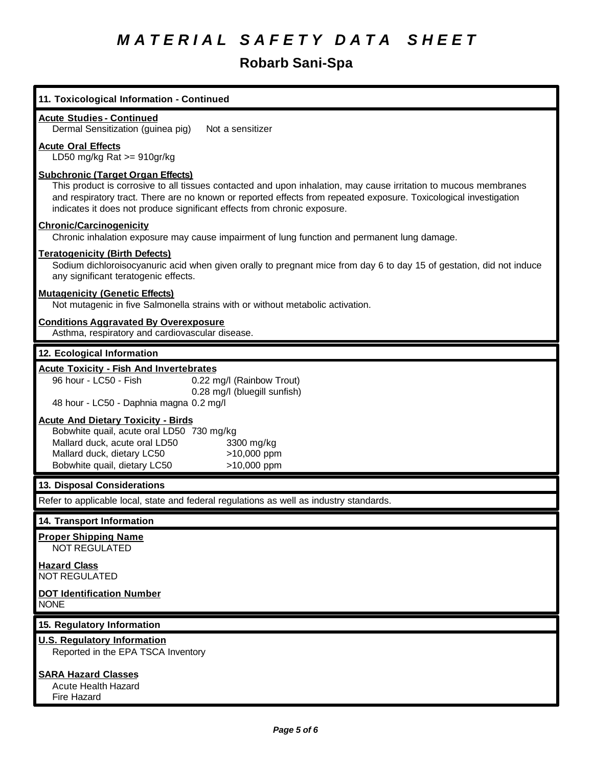# **Robarb Sani-Spa**

| 11. Toxicological Information - Continued                                                                                                                                                                                                                                                                                                                     |
|---------------------------------------------------------------------------------------------------------------------------------------------------------------------------------------------------------------------------------------------------------------------------------------------------------------------------------------------------------------|
| <b>Acute Studies - Continued</b><br>Dermal Sensitization (guinea pig)<br>Not a sensitizer                                                                                                                                                                                                                                                                     |
| <b>Acute Oral Effects</b><br>LD50 mg/kg Rat $>= 910$ gr/kg                                                                                                                                                                                                                                                                                                    |
| <b>Subchronic (Target Organ Effects)</b><br>This product is corrosive to all tissues contacted and upon inhalation, may cause irritation to mucous membranes<br>and respiratory tract. There are no known or reported effects from repeated exposure. Toxicological investigation<br>indicates it does not produce significant effects from chronic exposure. |
| <b>Chronic/Carcinogenicity</b><br>Chronic inhalation exposure may cause impairment of lung function and permanent lung damage.                                                                                                                                                                                                                                |
| <b>Teratogenicity (Birth Defects)</b><br>Sodium dichloroisocyanuric acid when given orally to pregnant mice from day 6 to day 15 of gestation, did not induce<br>any significant teratogenic effects.                                                                                                                                                         |
| <b>Mutagenicity (Genetic Effects)</b><br>Not mutagenic in five Salmonella strains with or without metabolic activation.                                                                                                                                                                                                                                       |
| <b>Conditions Aggravated By Overexposure</b><br>Asthma, respiratory and cardiovascular disease.                                                                                                                                                                                                                                                               |
| 12. Ecological Information                                                                                                                                                                                                                                                                                                                                    |
| <b>Acute Toxicity - Fish And Invertebrates</b><br>96 hour - LC50 - Fish<br>0.22 mg/l (Rainbow Trout)<br>0.28 mg/l (bluegill sunfish)<br>48 hour - LC50 - Daphnia magna 0.2 mg/l                                                                                                                                                                               |
| <b>Acute And Dietary Toxicity - Birds</b><br>Bobwhite quail, acute oral LD50 730 mg/kg<br>Mallard duck, acute oral LD50<br>3300 mg/kg<br>Mallard duck, dietary LC50<br>>10,000 ppm<br>Bobwhite quail, dietary LC50<br>>10,000 ppm                                                                                                                             |
| 13. Disposal Considerations                                                                                                                                                                                                                                                                                                                                   |
| Refer to applicable local, state and federal regulations as well as industry standards.                                                                                                                                                                                                                                                                       |
| 14. Transport Information                                                                                                                                                                                                                                                                                                                                     |
| <b>Proper Shipping Name</b><br>NOT REGULATED                                                                                                                                                                                                                                                                                                                  |
| <b>Hazard Class</b><br>NOT REGULATED                                                                                                                                                                                                                                                                                                                          |
| <b>DOT Identification Number</b><br><b>NONE</b>                                                                                                                                                                                                                                                                                                               |
| 15. Regulatory Information                                                                                                                                                                                                                                                                                                                                    |
| <b>U.S. Regulatory Information</b><br>Reported in the EPA TSCA Inventory                                                                                                                                                                                                                                                                                      |
| <b>SARA Hazard Classes</b><br><b>Acute Health Hazard</b><br>Fire Hazard                                                                                                                                                                                                                                                                                       |